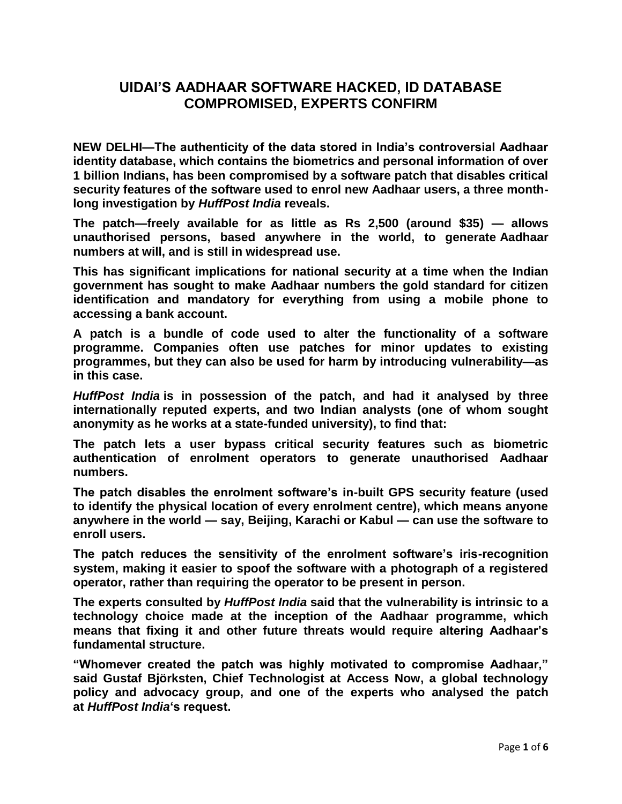## **UIDAI"S AADHAAR SOFTWARE HACKED, ID DATABASE COMPROMISED, EXPERTS CONFIRM**

**NEW DELHI—The authenticity of the data stored in India"s controversial Aadhaar identity database, which contains the biometrics and personal information of over 1 billion Indians, has been compromised by a software patch that disables critical security features of the software used to enrol new Aadhaar users, a three monthlong investigation by** *HuffPost India* **reveals.**

**The patch—freely available for as little as Rs 2,500 (around \$35) — allows unauthorised persons, based anywhere in the world, to generate Aadhaar numbers at will, and is still in widespread use.**

**This has significant implications for national security at a time when the Indian government has sought to make Aadhaar numbers the gold standard for citizen identification and mandatory for everything from using a mobile phone to accessing a bank account.**

**A patch is a bundle of code used to alter the functionality of a software programme. Companies often use patches for minor updates to existing programmes, but they can also be used for harm by introducing vulnerability—as in this case.**

*HuffPost India* **is in possession of the patch, and had it analysed by three internationally reputed experts, and two Indian analysts (one of whom sought anonymity as he works at a state-funded university), to find that:**

**The patch lets a user bypass critical security features such as biometric authentication of enrolment operators to generate unauthorised Aadhaar numbers.**

**The patch disables the enrolment software"s in-built GPS security feature (used to identify the physical location of every enrolment centre), which means anyone anywhere in the world — say, Beijing, Karachi or Kabul — can use the software to enroll users.**

**The patch reduces the sensitivity of the enrolment software"s iris-recognition system, making it easier to spoof the software with a photograph of a registered operator, rather than requiring the operator to be present in person.**

**The experts consulted by** *HuffPost India* **said that the vulnerability is intrinsic to a technology choice made at the inception of the Aadhaar programme, which means that fixing it and other future threats would require altering Aadhaar"s fundamental structure.**

**"Whomever created the patch was highly motivated to compromise Aadhaar," said Gustaf Björksten, Chief Technologist at Access Now, a global technology policy and advocacy group, and one of the experts who analysed the patch at** *HuffPost India***"s request.**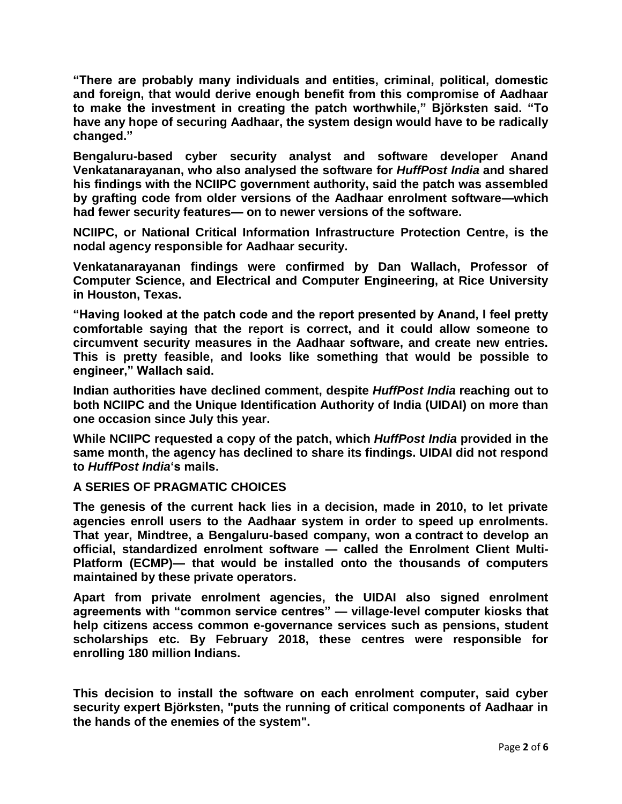**"There are probably many individuals and entities, criminal, political, domestic and foreign, that would derive enough benefit from this compromise of Aadhaar to make the investment in creating the patch worthwhile," Björksten said. "To have any hope of securing Aadhaar, the system design would have to be radically changed."**

**Bengaluru-based cyber security analyst and software developer Anand Venkatanarayanan, who also analysed the software for** *HuffPost India* **and shared his findings with the NCIIPC government authority, said the patch was assembled by grafting code from older versions of the Aadhaar enrolment software—which had fewer security features— on to newer versions of the software.**

**NCIIPC, or National Critical Information Infrastructure Protection Centre, is the nodal agency responsible for Aadhaar security.**

**Venkatanarayanan findings were confirmed by Dan Wallach, Professor of Computer Science, and Electrical and Computer Engineering, at Rice University in Houston, Texas.**

**"Having looked at the patch code and the report presented by Anand, I feel pretty comfortable saying that the report is correct, and it could allow someone to circumvent security measures in the Aadhaar software, and create new entries. This is pretty feasible, and looks like something that would be possible to engineer," Wallach said.**

**Indian authorities have declined comment, despite** *HuffPost India* **reaching out to both NCIIPC and the Unique Identification Authority of India (UIDAI) on more than one occasion since July this year.**

**While NCIIPC requested a copy of the patch, which** *HuffPost India* **provided in the same month, the agency has declined to share its findings. UIDAI did not respond to** *HuffPost India***"s mails.**

## **A SERIES OF PRAGMATIC CHOICES**

**The genesis of the current hack lies in a decision, made in 2010, to let private agencies enroll users to the Aadhaar system in order to speed up enrolments. That year, Mindtree, a Bengaluru-based company, won a contract to develop an official, standardized enrolment software — called the Enrolment Client Multi-Platform (ECMP)— that would be installed onto the thousands of computers maintained by these private operators.**

**Apart from private enrolment agencies, the UIDAI also signed enrolment agreements with "common service centres" — village-level computer kiosks that help citizens access common e-governance services such as pensions, student scholarships etc. By February 2018, these centres were responsible for enrolling 180 million Indians.**

**This decision to install the software on each enrolment computer, said cyber security expert Björksten, "puts the running of critical components of Aadhaar in the hands of the enemies of the system".**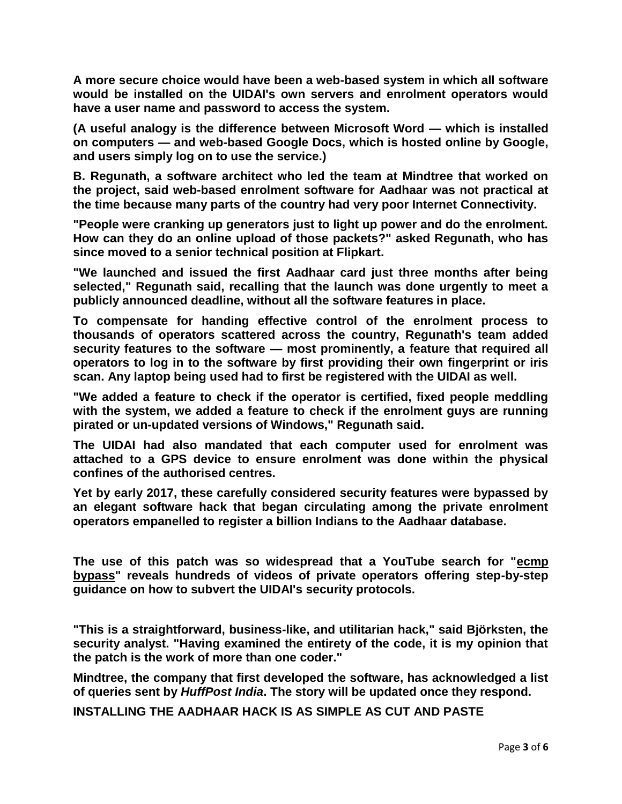**A more secure choice would have been a web-based system in which all software would be installed on the UIDAI's own servers and enrolment operators would have a user name and password to access the system.**

**(A useful analogy is the difference between Microsoft Word — which is installed on computers — and web-based Google Docs, which is hosted online by Google, and users simply log on to use the service.)**

**B. Regunath, a software architect who led the team at Mindtree that worked on the project, said web-based enrolment software for Aadhaar was not practical at the time because many parts of the country had very poor Internet Connectivity.**

**"People were cranking up generators just to light up power and do the enrolment. How can they do an online upload of those packets?" asked Regunath, who has since moved to a senior technical position at Flipkart.**

**"We launched and issued the first Aadhaar card just three months after being selected," Regunath said, recalling that the launch was done urgently to meet a publicly announced deadline, without all the software features in place.**

**To compensate for handing effective control of the enrolment process to thousands of operators scattered across the country, Regunath's team added security features to the software — most prominently, a feature that required all operators to log in to the software by first providing their own fingerprint or iris scan. Any laptop being used had to first be registered with the UIDAI as well.**

**"We added a feature to check if the operator is certified, fixed people meddling with the system, we added a feature to check if the enrolment guys are running pirated or un-updated versions of Windows," Regunath said.**

**The UIDAI had also mandated that each computer used for enrolment was attached to a GPS device to ensure enrolment was done within the physical confines of the authorised centres.**

**Yet by early 2017, these carefully considered security features were bypassed by an elegant software hack that began circulating among the private enrolment operators empanelled to register a billion Indians to the Aadhaar database.**

**The use of this patch was so widespread that a YouTube search for ["ecmp](https://www.youtube.com/results?search_query=ecmp+bypass) [bypass"](https://www.youtube.com/results?search_query=ecmp+bypass) reveals hundreds of videos of private operators offering step-by-step guidance on how to subvert the UIDAI's security protocols.**

**"This is a straightforward, business-like, and utilitarian hack," said Björksten, the security analyst. "Having examined the entirety of the code, it is my opinion that the patch is the work of more than one coder."**

**Mindtree, the company that first developed the software, has acknowledged a list of queries sent by** *HuffPost India***. The story will be updated once they respond.**

**INSTALLING THE AADHAAR HACK IS AS SIMPLE AS CUT AND PASTE**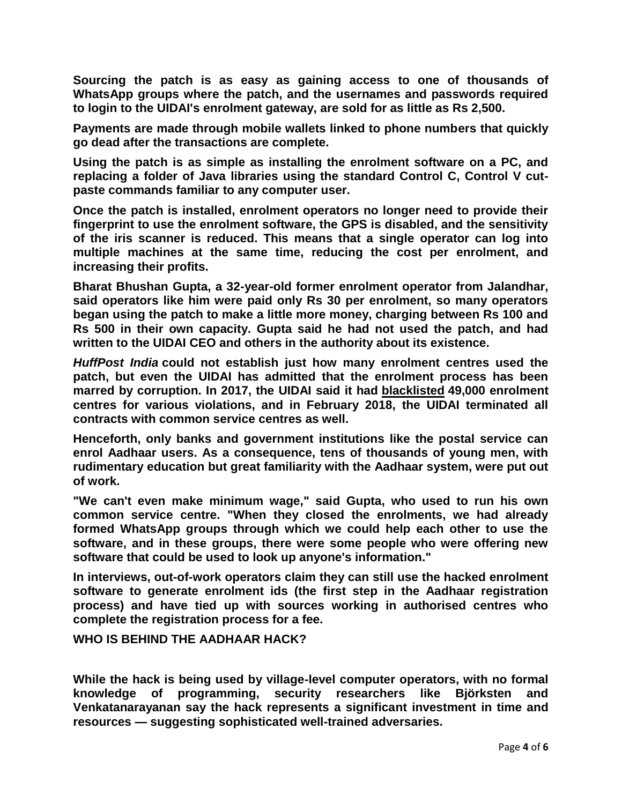**Sourcing the patch is as easy as gaining access to one of thousands of WhatsApp groups where the patch, and the usernames and passwords required to login to the UIDAI's enrolment gateway, are sold for as little as Rs 2,500.**

**Payments are made through mobile wallets linked to phone numbers that quickly go dead after the transactions are complete.**

**Using the patch is as simple as installing the enrolment software on a PC, and replacing a folder of Java libraries using the standard Control C, Control V cutpaste commands familiar to any computer user.**

**Once the patch is installed, enrolment operators no longer need to provide their fingerprint to use the enrolment software, the GPS is disabled, and the sensitivity of the iris scanner is reduced. This means that a single operator can log into multiple machines at the same time, reducing the cost per enrolment, and increasing their profits.**

**Bharat Bhushan Gupta, a 32-year-old former enrolment operator from Jalandhar, said operators like him were paid only Rs 30 per enrolment, so many operators began using the patch to make a little more money, charging between Rs 100 and Rs 500 in their own capacity. Gupta said he had not used the patch, and had written to the UIDAI CEO and others in the authority about its existence.**

*HuffPost India* **could not establish just how many enrolment centres used the patch, but even the UIDAI has admitted that the enrolment process has been marred by corruption. In 2017, the UIDAI said it had [blacklisted](https://timesofindia.indiatimes.com/city/delhi/49000-fraudulent-operators-blacklisted-says-uidai/articleshow/60470131.cms) 49,000 enrolment centres for various violations, and in February 2018, the UIDAI terminated all contracts with common service centres as well.**

**Henceforth, only banks and government institutions like the postal service can enrol Aadhaar users. As a consequence, tens of thousands of young men, with rudimentary education but great familiarity with the Aadhaar system, were put out of work.**

**"We can't even make minimum wage," said Gupta, who used to run his own common service centre. "When they closed the enrolments, we had already formed WhatsApp groups through which we could help each other to use the software, and in these groups, there were some people who were offering new software that could be used to look up anyone's information."**

**In interviews, out-of-work operators claim they can still use the hacked enrolment software to generate enrolment ids (the first step in the Aadhaar registration process) and have tied up with sources working in authorised centres who complete the registration process for a fee.**

**WHO IS BEHIND THE AADHAAR HACK?**

**While the hack is being used by village-level computer operators, with no formal knowledge of programming, security researchers like Björksten and Venkatanarayanan say the hack represents a significant investment in time and resources — suggesting sophisticated well-trained adversaries.**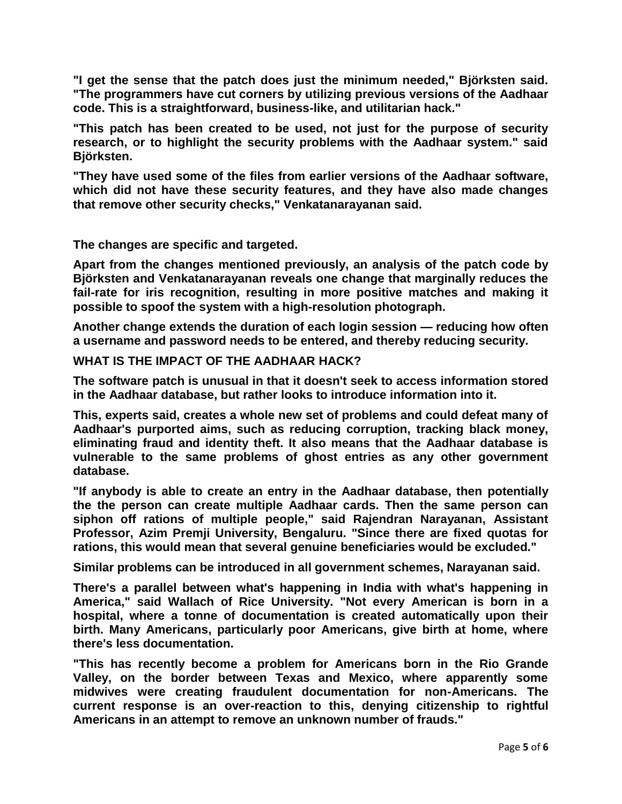**"I get the sense that the patch does just the minimum needed," Björksten said. "The programmers have cut corners by utilizing previous versions of the Aadhaar code. This is a straightforward, business-like, and utilitarian hack."**

**"This patch has been created to be used, not just for the purpose of security research, or to highlight the security problems with the Aadhaar system." said Björksten.**

**"They have used some of the files from earlier versions of the Aadhaar software, which did not have these security features, and they have also made changes that remove other security checks," Venkatanarayanan said.**

**The changes are specific and targeted.**

**Apart from the changes mentioned previously, an analysis of the patch code by Björksten and Venkatanarayanan reveals one change that marginally reduces the fail-rate for iris recognition, resulting in more positive matches and making it possible to spoof the system with a high-resolution photograph.**

**Another change extends the duration of each login session — reducing how often a username and password needs to be entered, and thereby reducing security.**

## **WHAT IS THE IMPACT OF THE AADHAAR HACK?**

**The software patch is unusual in that it doesn't seek to access information stored in the Aadhaar database, but rather looks to introduce information into it.**

**This, experts said, creates a whole new set of problems and could defeat many of Aadhaar's purported aims, such as reducing corruption, tracking black money, eliminating fraud and identity theft. It also means that the Aadhaar database is vulnerable to the same problems of ghost entries as any other government database.**

**"If anybody is able to create an entry in the Aadhaar database, then potentially the the person can create multiple Aadhaar cards. Then the same person can siphon off rations of multiple people," said Rajendran Narayanan, Assistant Professor, Azim Premji University, Bengaluru. "Since there are fixed quotas for rations, this would mean that several genuine beneficiaries would be excluded."**

**Similar problems can be introduced in all government schemes, Narayanan said.**

**There's a parallel between what's happening in India with what's happening in America," said Wallach of Rice University. "Not every American is born in a hospital, where a tonne of documentation is created automatically upon their birth. Many Americans, particularly poor Americans, give birth at home, where there's less documentation.**

**"This has recently become a problem for Americans born in the Rio Grande Valley, on the border between Texas and Mexico, where apparently some midwives were creating fraudulent documentation for non-Americans. The current response is an over-reaction to this, denying citizenship to rightful Americans in an attempt to remove an unknown number of frauds."**